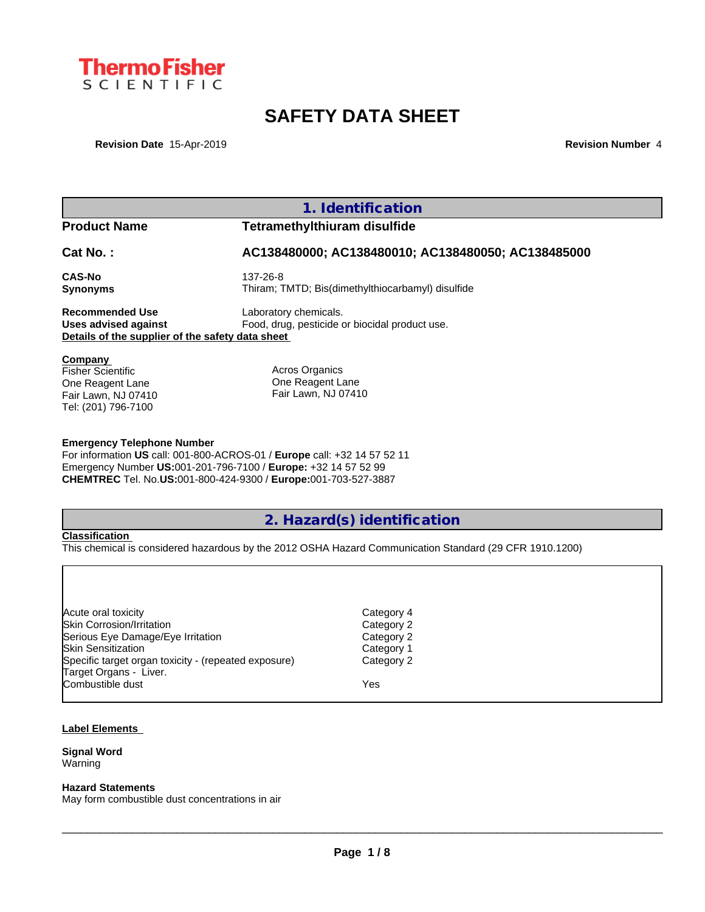

# **SAFETY DATA SHEET**

**Revision Date** 15-Apr-2019 **Revision Number** 4

|                                                  | 1. Identification                                                                                       |
|--------------------------------------------------|---------------------------------------------------------------------------------------------------------|
| <b>Product Name</b>                              | <b>Tetramethylthiuram disulfide</b>                                                                     |
| Cat No.:                                         | AC138480000; AC138480010; AC138480050; AC138485000                                                      |
| <b>CAS-No</b>                                    | 137-26-8                                                                                                |
| Synonyms                                         | Thiram; TMTD; Bis(dimethylthiocarbamyl) disulfide                                                       |
| <b>Recommended Use</b>                           | Laboratory chemicals.                                                                                   |
| Uses advised against                             | Food, drug, pesticide or biocidal product use.                                                          |
| Details of the supplier of the safety data sheet |                                                                                                         |
| Company                                          |                                                                                                         |
| Fisher Scientific<br>One Reagent Lane            | <b>Acros Organics</b><br>One Reagent Lane                                                               |
| Fair Lawn, NJ 07410                              | Fair Lawn, NJ 07410                                                                                     |
| Tel: (201) 796-7100                              |                                                                                                         |
|                                                  |                                                                                                         |
| <b>Emergency Telephone Number</b>                | For information US call: 001-800-ACROS-01 / Europe call: +32 14 57 52 11                                |
|                                                  | Emergency Number US:001-201-796-7100 / Europe: +32 14 57 52 99                                          |
|                                                  | CHEMTREC Tel. No.US:001-800-424-9300 / Europe:001-703-527-3887                                          |
|                                                  |                                                                                                         |
|                                                  | 2. Hazard(s) identification                                                                             |
| <b>Classification</b>                            |                                                                                                         |
|                                                  | This chemical is considered hazardous by the 2012 OSHA Hazard Communication Standard (29 CFR 1910.1200) |

| Acute oral toxicity                                  | Category 4 |
|------------------------------------------------------|------------|
| <b>Skin Corrosion/Irritation</b>                     | Category 2 |
| Serious Eye Damage/Eye Irritation                    | Category 2 |
| <b>Skin Sensitization</b>                            | Category 1 |
| Specific target organ toxicity - (repeated exposure) | Category 2 |
| Target Organs - Liver.                               |            |
| Combustible dust                                     | Yes        |
|                                                      |            |

### **Label Elements**

#### **Signal Word** Warning

#### **Hazard Statements**

May form combustible dust concentrations in air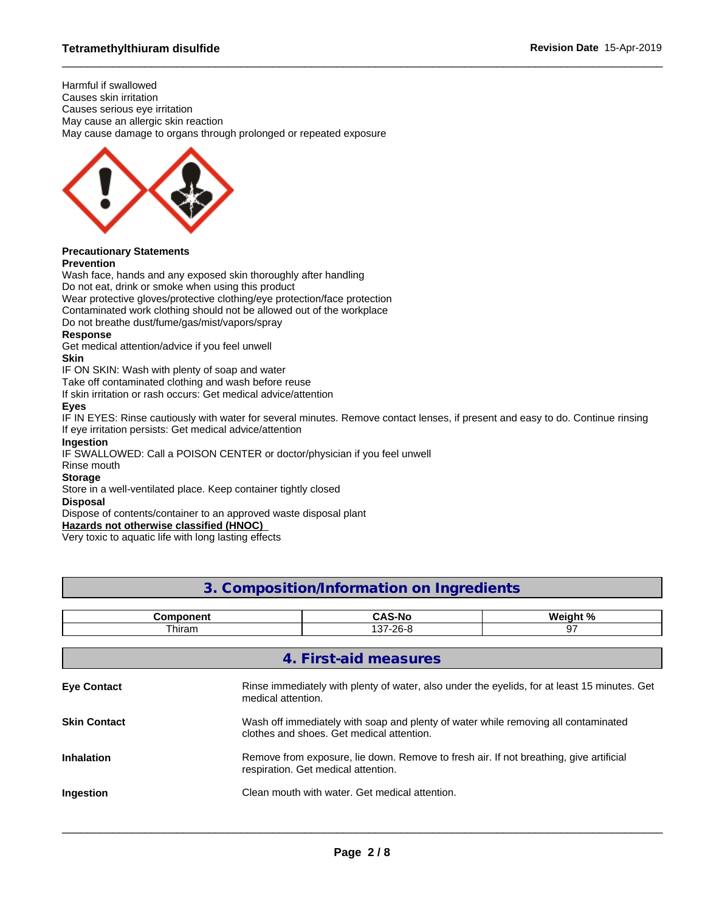Harmful if swallowed Causes skin irritation Causes serious eye irritation May cause an allergic skin reaction May cause damage to organs through prolonged or repeated exposure



# **Precautionary Statements**

### **Prevention**

Wash face, hands and any exposed skin thoroughly after handling Do not eat, drink or smoke when using this product Wear protective gloves/protective clothing/eye protection/face protection Contaminated work clothing should not be allowed out of the workplace

Do not breathe dust/fume/gas/mist/vapors/spray

### **Response**

Get medical attention/advice if you feel unwell

#### **Skin**

IF ON SKIN: Wash with plenty of soap and water

Take off contaminated clothing and wash before reuse

If skin irritation or rash occurs: Get medical advice/attention

#### **Eyes**

IF IN EYES: Rinse cautiously with water for several minutes. Remove contact lenses, if present and easy to do. Continue rinsing If eye irritation persists: Get medical advice/attention

#### **Ingestion**

IF SWALLOWED: Call a POISON CENTER or doctor/physician if you feel unwell

## Rinse mouth

**Storage**

Store in a well-ventilated place. Keep container tightly closed

#### **Disposal**

Dispose of contents/container to an approved waste disposal plant

#### **Hazards not otherwise classified (HNOC)**

Very toxic to aquatic life with long lasting effects

# **3. Composition/Information on Ingredients**

| Component           |                    | <b>CAS-No</b>                                                                                                                   | Weight % |  |  |
|---------------------|--------------------|---------------------------------------------------------------------------------------------------------------------------------|----------|--|--|
| Thiram              |                    | 137-26-8                                                                                                                        | 97       |  |  |
|                     |                    |                                                                                                                                 |          |  |  |
|                     |                    | 4. First-aid measures                                                                                                           |          |  |  |
| <b>Eye Contact</b>  | medical attention. | Rinse immediately with plenty of water, also under the eyelids, for at least 15 minutes. Get                                    |          |  |  |
| <b>Skin Contact</b> |                    | Wash off immediately with soap and plenty of water while removing all contaminated<br>clothes and shoes. Get medical attention. |          |  |  |
| <b>Inhalation</b>   |                    | Remove from exposure, lie down. Remove to fresh air. If not breathing, give artificial<br>respiration. Get medical attention.   |          |  |  |
| <b>Ingestion</b>    |                    | Clean mouth with water. Get medical attention.                                                                                  |          |  |  |
|                     |                    |                                                                                                                                 |          |  |  |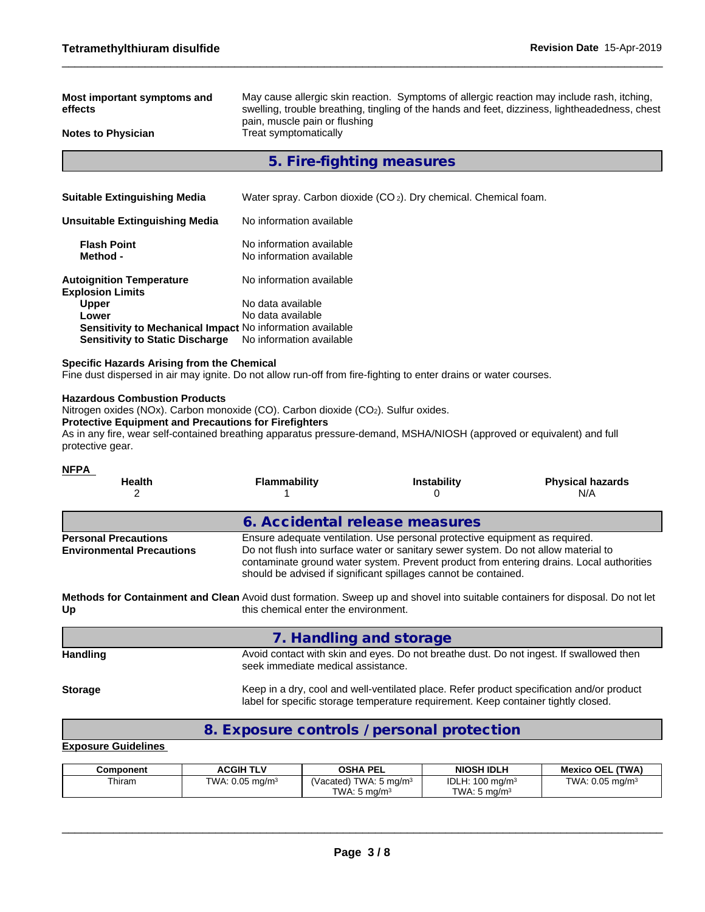| Most important symptoms and<br>effects                                                                                                                                                                    | May cause allergic skin reaction. Symptoms of allergic reaction may include rash, itching,<br>swelling, trouble breathing, tingling of the hands and feet, dizziness, lightheadedness, chest<br>pain, muscle pain or flushing |                                                                                                                                                                                                                                      |                                                                                           |  |  |  |  |
|-----------------------------------------------------------------------------------------------------------------------------------------------------------------------------------------------------------|-------------------------------------------------------------------------------------------------------------------------------------------------------------------------------------------------------------------------------|--------------------------------------------------------------------------------------------------------------------------------------------------------------------------------------------------------------------------------------|-------------------------------------------------------------------------------------------|--|--|--|--|
| <b>Notes to Physician</b>                                                                                                                                                                                 | Treat symptomatically                                                                                                                                                                                                         |                                                                                                                                                                                                                                      |                                                                                           |  |  |  |  |
|                                                                                                                                                                                                           | 5. Fire-fighting measures                                                                                                                                                                                                     |                                                                                                                                                                                                                                      |                                                                                           |  |  |  |  |
|                                                                                                                                                                                                           |                                                                                                                                                                                                                               |                                                                                                                                                                                                                                      |                                                                                           |  |  |  |  |
| <b>Suitable Extinguishing Media</b>                                                                                                                                                                       |                                                                                                                                                                                                                               | Water spray. Carbon dioxide (CO <sub>2</sub> ). Dry chemical. Chemical foam.                                                                                                                                                         |                                                                                           |  |  |  |  |
| <b>Unsuitable Extinguishing Media</b>                                                                                                                                                                     | No information available                                                                                                                                                                                                      |                                                                                                                                                                                                                                      |                                                                                           |  |  |  |  |
| <b>Flash Point</b><br>Method -                                                                                                                                                                            | No information available<br>No information available                                                                                                                                                                          |                                                                                                                                                                                                                                      |                                                                                           |  |  |  |  |
| <b>Autoignition Temperature</b><br><b>Explosion Limits</b>                                                                                                                                                | No information available                                                                                                                                                                                                      |                                                                                                                                                                                                                                      |                                                                                           |  |  |  |  |
| Upper<br>Lower                                                                                                                                                                                            | No data available<br>No data available                                                                                                                                                                                        |                                                                                                                                                                                                                                      |                                                                                           |  |  |  |  |
| Sensitivity to Mechanical Impact No information available<br><b>Sensitivity to Static Discharge</b>                                                                                                       | No information available                                                                                                                                                                                                      |                                                                                                                                                                                                                                      |                                                                                           |  |  |  |  |
| <b>Specific Hazards Arising from the Chemical</b><br>Fine dust dispersed in air may ignite. Do not allow run-off from fire-fighting to enter drains or water courses.                                     |                                                                                                                                                                                                                               |                                                                                                                                                                                                                                      |                                                                                           |  |  |  |  |
| <b>Protective Equipment and Precautions for Firefighters</b><br>As in any fire, wear self-contained breathing apparatus pressure-demand, MSHA/NIOSH (approved or equivalent) and full<br>protective gear. |                                                                                                                                                                                                                               |                                                                                                                                                                                                                                      |                                                                                           |  |  |  |  |
| <u>NFPA</u><br>Health<br>2                                                                                                                                                                                | <b>Flammability</b><br>1                                                                                                                                                                                                      | <b>Instability</b><br>0                                                                                                                                                                                                              | <b>Physical hazards</b><br>N/A                                                            |  |  |  |  |
|                                                                                                                                                                                                           | 6. Accidental release measures                                                                                                                                                                                                |                                                                                                                                                                                                                                      |                                                                                           |  |  |  |  |
| <b>Personal Precautions</b><br><b>Environmental Precautions</b>                                                                                                                                           |                                                                                                                                                                                                                               | Ensure adequate ventilation. Use personal protective equipment as required.<br>Do not flush into surface water or sanitary sewer system. Do not allow material to<br>should be advised if significant spillages cannot be contained. | contaminate ground water system. Prevent product from entering drains. Local authorities  |  |  |  |  |
| Methods for Containment and Clean Avoid dust formation. Sweep up and shovel into suitable containers for disposal. Do not let<br>Up                                                                       | this chemical enter the environment.                                                                                                                                                                                          |                                                                                                                                                                                                                                      |                                                                                           |  |  |  |  |
|                                                                                                                                                                                                           | 7. Handling and storage                                                                                                                                                                                                       |                                                                                                                                                                                                                                      |                                                                                           |  |  |  |  |
| <b>Handling</b>                                                                                                                                                                                           | seek immediate medical assistance.                                                                                                                                                                                            |                                                                                                                                                                                                                                      | Avoid contact with skin and eyes. Do not breathe dust. Do not ingest. If swallowed then   |  |  |  |  |
| <b>Storage</b>                                                                                                                                                                                            |                                                                                                                                                                                                                               | label for specific storage temperature requirement. Keep container tightly closed.                                                                                                                                                   | Keep in a dry, cool and well-ventilated place. Refer product specification and/or product |  |  |  |  |
|                                                                                                                                                                                                           | 8. Exposure controls / personal protection                                                                                                                                                                                    |                                                                                                                                                                                                                                      |                                                                                           |  |  |  |  |
| <b>Exposure Guidelines</b>                                                                                                                                                                                |                                                                                                                                                                                                                               |                                                                                                                                                                                                                                      |                                                                                           |  |  |  |  |

| Component | <b>ACGIH TLV</b>              | <b>OSHA PEL</b>                                           | <b>NIOSH IDLH</b>                                     | <b>Mexico OEL (TWA)</b>       |
|-----------|-------------------------------|-----------------------------------------------------------|-------------------------------------------------------|-------------------------------|
| Thiram    | TWA: $0.05$ mg/m <sup>3</sup> | TWA: 5 ma/m $^3$<br>, Vacated)<br>TWA: $5 \text{ ma/m}^3$ | IDLH: $100 \text{ mg/m}^3$<br>TWA: $5 \text{ ma/m}^3$ | TWA: $0.05$ ma/m <sup>3</sup> |
|           |                               |                                                           |                                                       |                               |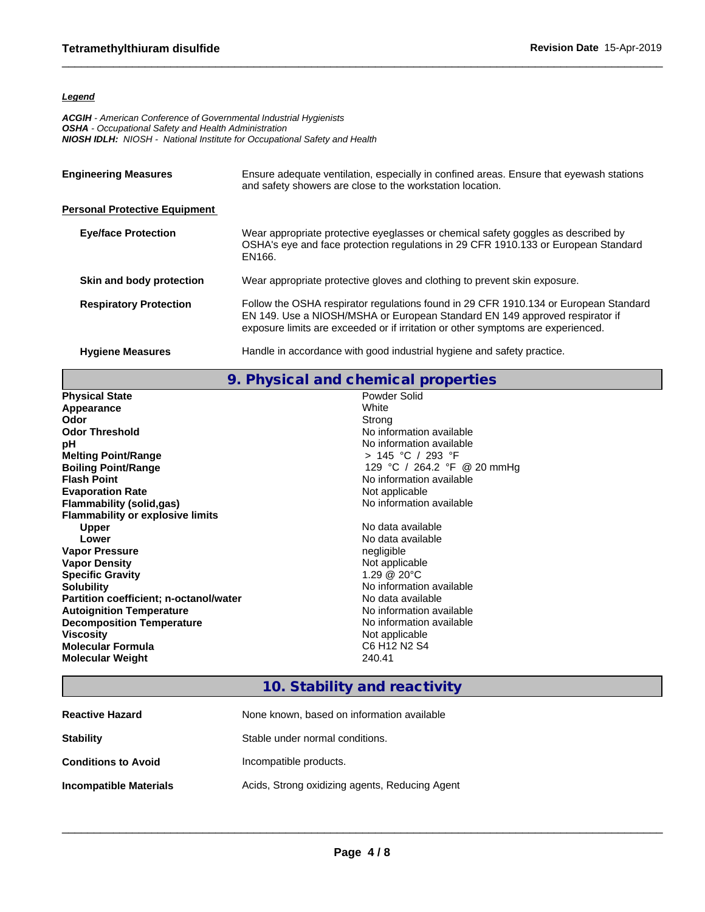#### *Legend*

*ACGIH - American Conference of Governmental Industrial Hygienists OSHA - Occupational Safety and Health Administration NIOSH IDLH: NIOSH - National Institute for Occupational Safety and Health*

| <b>Engineering Measures</b>          | Ensure adequate ventilation, especially in confined areas. Ensure that eyewash stations<br>and safety showers are close to the workstation location.                                                                                                    |  |  |
|--------------------------------------|---------------------------------------------------------------------------------------------------------------------------------------------------------------------------------------------------------------------------------------------------------|--|--|
| <b>Personal Protective Equipment</b> |                                                                                                                                                                                                                                                         |  |  |
| <b>Eye/face Protection</b>           | Wear appropriate protective eyeglasses or chemical safety goggles as described by<br>OSHA's eye and face protection regulations in 29 CFR 1910.133 or European Standard<br>EN166.                                                                       |  |  |
| Skin and body protection             | Wear appropriate protective gloves and clothing to prevent skin exposure.                                                                                                                                                                               |  |  |
| <b>Respiratory Protection</b>        | Follow the OSHA respirator regulations found in 29 CFR 1910.134 or European Standard<br>EN 149. Use a NIOSH/MSHA or European Standard EN 149 approved respirator if<br>exposure limits are exceeded or if irritation or other symptoms are experienced. |  |  |
| <b>Hygiene Measures</b>              | Handle in accordance with good industrial hygiene and safety practice.                                                                                                                                                                                  |  |  |

**9. Physical and chemical properties**

| <b>Physical State</b>                         | Powder Solid                                     |
|-----------------------------------------------|--------------------------------------------------|
| Appearance                                    | White                                            |
| Odor                                          | Strong                                           |
| <b>Odor Threshold</b>                         | No information available                         |
| рH                                            | No information available                         |
| <b>Melting Point/Range</b>                    | > 145 °C / 293 °F                                |
| <b>Boiling Point/Range</b>                    | 129 °C / 264.2 °F @ 20 mmHg                      |
| <b>Flash Point</b>                            | No information available                         |
| <b>Evaporation Rate</b>                       | Not applicable                                   |
| Flammability (solid,gas)                      | No information available                         |
| <b>Flammability or explosive limits</b>       |                                                  |
| <b>Upper</b>                                  | No data available                                |
| Lower                                         | No data available                                |
| <b>Vapor Pressure</b>                         | negligible                                       |
| <b>Vapor Density</b>                          | Not applicable                                   |
| <b>Specific Gravity</b>                       | 1.29 @ 20°C                                      |
| <b>Solubility</b>                             | No information available                         |
| <b>Partition coefficient; n-octanol/water</b> | No data available                                |
| <b>Autoignition Temperature</b>               | No information available                         |
| <b>Decomposition Temperature</b>              | No information available                         |
| <b>Viscosity</b>                              | Not applicable                                   |
| <b>Molecular Formula</b>                      | C6 H <sub>12</sub> N <sub>2</sub> S <sub>4</sub> |
| <b>Molecular Weight</b>                       | 240.41                                           |

# **10. Stability and reactivity**

| <b>Reactive Hazard</b>     | None known, based on information available     |
|----------------------------|------------------------------------------------|
| <b>Stability</b>           | Stable under normal conditions.                |
| <b>Conditions to Avoid</b> | Incompatible products.                         |
| Incompatible Materials     | Acids, Strong oxidizing agents, Reducing Agent |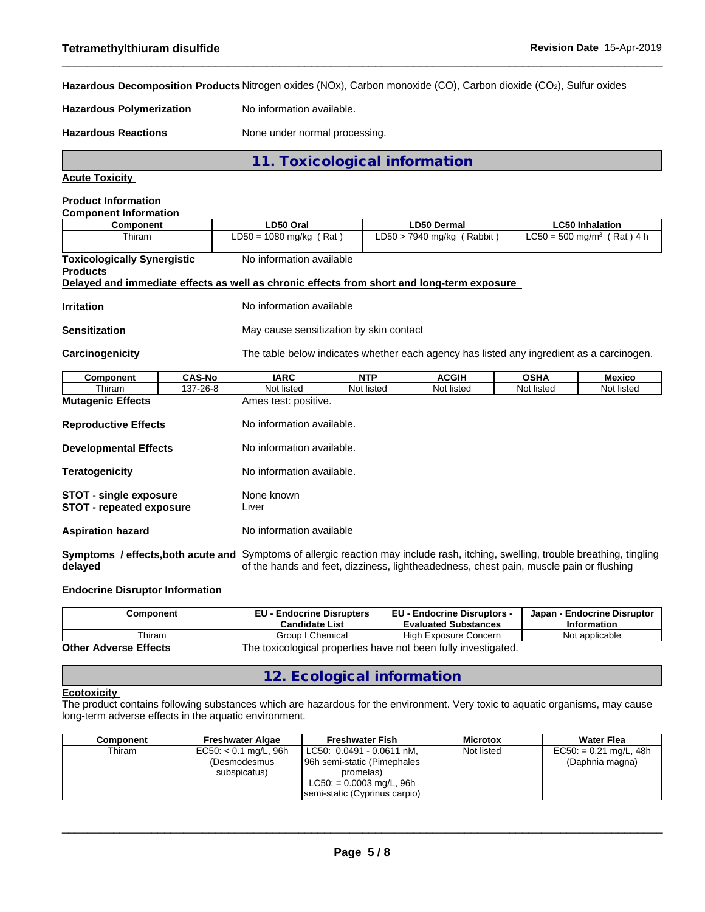**Hazardous Decomposition Products** Nitrogen oxides (NOx), Carbon monoxide (CO), Carbon dioxide (CO2), Sulfur oxides

**Hazardous Polymerization** No information available.

Hazardous Reactions **None under normal processing**.

**11. Toxicological information**

**Acute Toxicity**

#### **Product Information**

| <b>Component Information</b>                                                               |               |                                         |            |                                                                                          |             |                                          |
|--------------------------------------------------------------------------------------------|---------------|-----------------------------------------|------------|------------------------------------------------------------------------------------------|-------------|------------------------------------------|
| <b>Component</b>                                                                           |               | LD50 Oral                               |            | <b>LD50 Dermal</b>                                                                       |             | <b>LC50 Inhalation</b>                   |
| Thiram                                                                                     |               | $LD50 = 1080$ mg/kg (Rat)               |            | $LD50 > 7940$ mg/kg (Rabbit)                                                             |             | $LC50 = 500$ mg/m <sup>3</sup> (Rat) 4 h |
| <b>Toxicologically Synergistic</b><br><b>Products</b>                                      |               | No information available                |            |                                                                                          |             |                                          |
| Delayed and immediate effects as well as chronic effects from short and long-term exposure |               |                                         |            |                                                                                          |             |                                          |
| <b>Irritation</b>                                                                          |               | No information available                |            |                                                                                          |             |                                          |
| <b>Sensitization</b>                                                                       |               | May cause sensitization by skin contact |            |                                                                                          |             |                                          |
| Carcinogenicity                                                                            |               |                                         |            | The table below indicates whether each agency has listed any ingredient as a carcinogen. |             |                                          |
| Component                                                                                  | <b>CAS-No</b> | <b>IARC</b>                             | <b>NTP</b> | <b>ACGIH</b>                                                                             | <b>OSHA</b> | Mexico                                   |
| Thiram                                                                                     | 137-26-8      | Not listed                              | Not listed | Not listed                                                                               | Not listed  | Not listed                               |

**Mutagenic Effects** Ames test: positive. **Reproductive Effects** No information available. **Developmental Effects** No information available. **Teratogenicity** No information available. **STOT** - **single exposure** None known **STOT - repeated exposure** Liver **Aspiration hazard** No information available **Symptoms / effects,both acute and** Symptoms of allergic reaction may include rash, itching, swelling, trouble breathing, tingling **delayed** of the hands and feet, dizziness, lightheadedness, chest pain, muscle pain or flushing

#### **Endocrine Disruptor Information**

| Component                                                                                      | <b>EU - Endocrine Disrupters</b><br><b>Candidate List</b> | <b>EU - Endocrine Disruptors -</b><br><b>Evaluated Substances</b> | Japan - Endocrine Disruptor<br><b>Information</b> |  |  |
|------------------------------------------------------------------------------------------------|-----------------------------------------------------------|-------------------------------------------------------------------|---------------------------------------------------|--|--|
| Thiram                                                                                         | Group I Chemical                                          | High Exposure Concern                                             | Not applicable                                    |  |  |
| The toxicological properties have not been fully investigated.<br><b>Other Adverse Effects</b> |                                                           |                                                                   |                                                   |  |  |

# **12. Ecological information**

#### **Ecotoxicity**

The product contains following substances which are hazardous for the environment. Very toxic to aquatic organisms, may cause long-term adverse effects in the aquatic environment.

| Component | <b>Freshwater Algae</b> | <b>Freshwater Fish</b>        | <b>Microtox</b> | Water Flea               |
|-----------|-------------------------|-------------------------------|-----------------|--------------------------|
| Thiram    | $EC50: < 0.1$ mg/L, 96h | LC50: 0.0491 - 0.0611 nM,     | Not listed      | $EC50: = 0.21$ mg/L, 48h |
|           | (Desmodesmus            | 96h semi-static (Pimephales)  |                 | (Daphnia magna)          |
|           | subspicatus)            | promelas)                     |                 |                          |
|           |                         | $LC50: = 0.0003$ mg/L, 96h    |                 |                          |
|           |                         | semi-static (Cyprinus carpio) |                 |                          |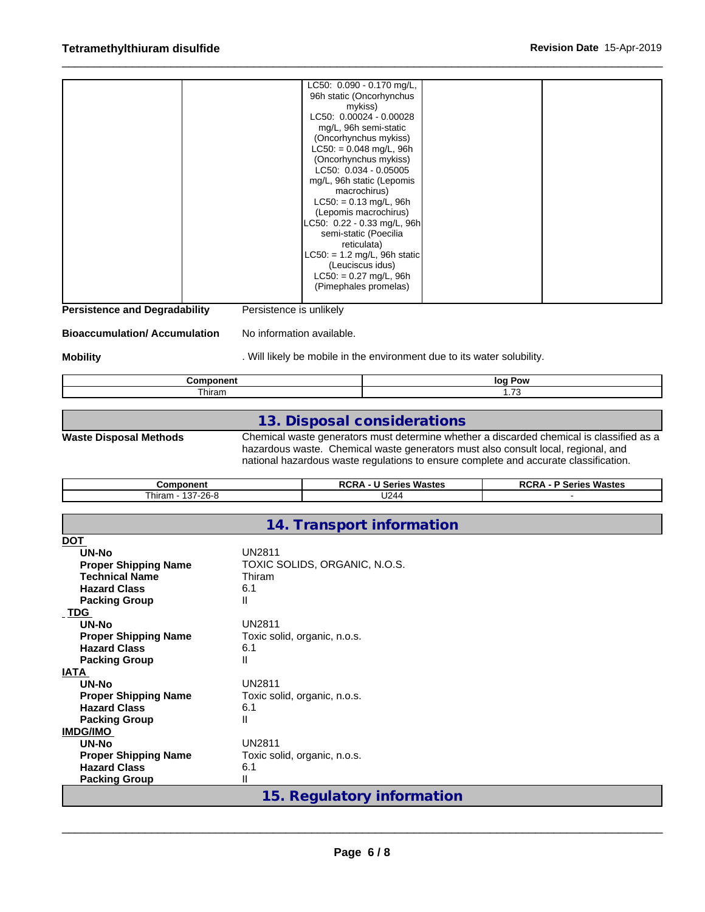|  | LC50: 0.090 - 0.170 mg/L,      |  |
|--|--------------------------------|--|
|  | 96h static (Oncorhynchus       |  |
|  | mykiss)                        |  |
|  | LC50: 0.00024 - 0.00028        |  |
|  | mg/L, 96h semi-static          |  |
|  | (Oncorhynchus mykiss)          |  |
|  | $LC50: = 0.048$ mg/L, 96h      |  |
|  | (Oncorhynchus mykiss)          |  |
|  | LC50: 0.034 - 0.05005          |  |
|  | mg/L, 96h static (Lepomis      |  |
|  | macrochirus)                   |  |
|  | $LC50: = 0.13$ mg/L, 96h       |  |
|  | (Lepomis macrochirus)          |  |
|  | LC50: 0.22 - 0.33 mg/L, 96h    |  |
|  | semi-static (Poecilia          |  |
|  | reticulata)                    |  |
|  | $LC50: = 1.2$ mg/L, 96h static |  |
|  | (Leuciscus idus)               |  |
|  | $LC50: = 0.27$ mg/L, 96h       |  |
|  | (Pimephales promelas)          |  |
|  |                                |  |

**Persistence and Degradability** Persistence is unlikely

**Bioaccumulation/ Accumulation** No information available.

**Mobility Mobility** . Will likely be mobile in the environment due to its water solubility.

|         | loc<br>יירי |
|---------|-------------|
| j       | $-$         |
| . hiram |             |

## **13. Disposal considerations**

**Waste Disposal Methods** Chemical waste generators must determine whether a discarded chemical is classified as a hazardous waste. Chemical waste generators must also consult local, regional, and national hazardous waste regulations to ensure complete and accurate classification.

| こomponent                      | Wastes<br>ore<br>.<br>Series<br>י ש<br>nun, | Wastes<br>RCR <sub>∤</sub><br>$\sim$<br>JU 165 |
|--------------------------------|---------------------------------------------|------------------------------------------------|
| 107.000<br>- hiram<br>I37-26-8 | U244                                        |                                                |

## **14. Transport information**

| <b>DOT</b>                  |                               |
|-----------------------------|-------------------------------|
| UN-No                       | UN2811                        |
| <b>Proper Shipping Name</b> | TOXIC SOLIDS, ORGANIC, N.O.S. |
| <b>Technical Name</b>       | Thiram                        |
| <b>Hazard Class</b>         | 6.1                           |
| <b>Packing Group</b>        | Ш                             |
| TDG                         |                               |
| UN-No                       | UN2811                        |
| <b>Proper Shipping Name</b> | Toxic solid, organic, n.o.s.  |
| <b>Hazard Class</b>         | 6.1                           |
| <b>Packing Group</b>        | Ш                             |
| <b>IATA</b>                 |                               |
| UN-No                       | <b>UN2811</b>                 |
| <b>Proper Shipping Name</b> | Toxic solid, organic, n.o.s.  |
| <b>Hazard Class</b>         | 6.1                           |
| <b>Packing Group</b>        | Ш                             |
| <b>IMDG/IMO</b>             |                               |
| UN-No                       | UN2811                        |
| <b>Proper Shipping Name</b> | Toxic solid, organic, n.o.s.  |
| <b>Hazard Class</b>         | 6.1                           |
| <b>Packing Group</b>        | Ш                             |
|                             | 15. Regulatory information    |
|                             |                               |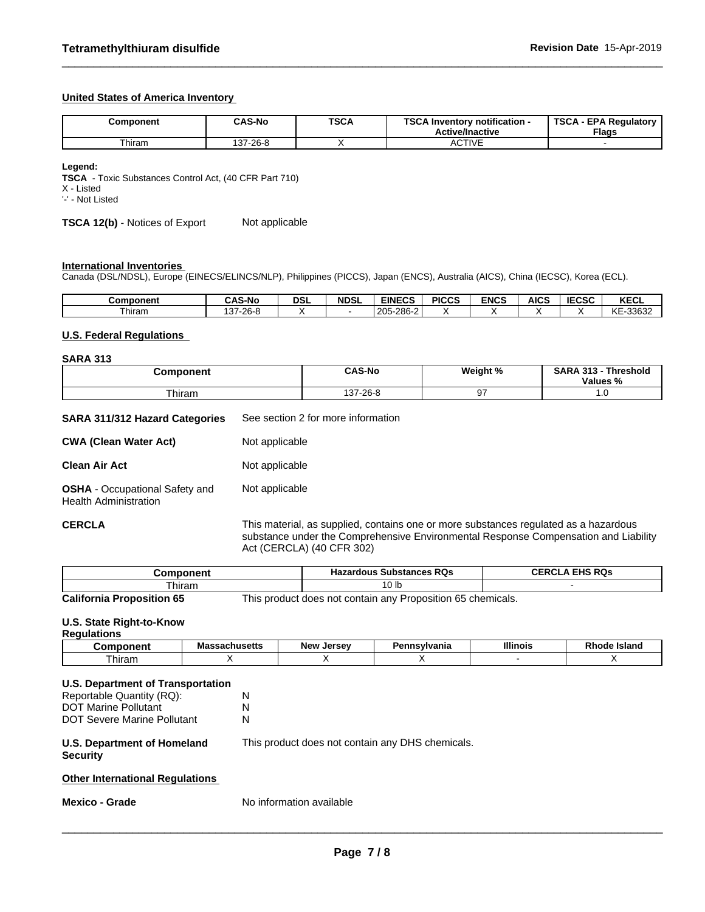#### **United States of America Inventory**

| Component | <b>CAS-No</b> | <b>TSCA</b> | TOO AL<br>Inventory notification -<br>อษย<br><b>Active/Inactive</b> | <b>TSCA</b><br>A - EPA Regulatory '<br>Flags |
|-----------|---------------|-------------|---------------------------------------------------------------------|----------------------------------------------|
| ⊺hiram    | 137-26-8      |             | <b>CTIVE</b><br>AUITE                                               |                                              |

**Legend:**

**TSCA** - Toxic Substances Control Act, (40 CFR Part 710)

X - Listed

'-' - Not Listed

**TSCA 12(b)** - Notices of Export Not applicable

#### **International Inventories**

Canada (DSL/NDSL), Europe (EINECS/ELINCS/NLP), Philippines (PICCS), Japan (ENCS), Australia (AICS), China (IECSC), Korea (ECL).

| Component | <b>AS-No</b>                      | <b>DSL</b> | <b>NDSL</b> | <b>EINECS</b>                     | <b>PICCS</b> | <b>ENCS</b> | <b>AICS</b> | <b>IEOCO</b><br>:656 | $\mathbf{v}$<br><b>NEVL</b> |
|-----------|-----------------------------------|------------|-------------|-----------------------------------|--------------|-------------|-------------|----------------------|-----------------------------|
| ⊺hiram    | nn n<br>$\sim$<br>∠o-⁄<br>л.<br>U |            |             | -286-2<br>$\Omega$<br>∠∪<br>LUU L |              |             |             |                      | 00000<br>I∕F<br>↖∟<br>טטטט∽ |

#### **U.S. Federal Regulations**

#### **SARA 313**

| omponent | <b>CAS-No</b>  | Weight % | <b>SARA</b><br>242<br><b>Threshold</b><br>Values<br>-70 |  |
|----------|----------------|----------|---------------------------------------------------------|--|
| hiram    | $.37 - 26 - F$ |          | $\cdot\cdot\cdot$                                       |  |

| SARA 311/312 Hazard Categories | See section 2 for more information |
|--------------------------------|------------------------------------|
|                                |                                    |

| <b>CWA (Clean Water Act)</b>                                          | Not applicable |
|-----------------------------------------------------------------------|----------------|
| <b>Clean Air Act</b>                                                  | Not applicable |
| <b>OSHA</b> - Occupational Safety and<br><b>Health Administration</b> | Not applicable |

**CERCLA** This material, as supplied, contains one or more substances regulated as a hazardous substance under the Comprehensive Environmental Response Compensation and Liability Act (CERCLA) (40 CFR 302)

| hmponent?<br>∟omi                | <b>Hazardous Substances RQs</b>                              | <b>EHS RQs</b><br>CERC |
|----------------------------------|--------------------------------------------------------------|------------------------|
| `hiram                           | 0 <sub>lb</sub>                                              |                        |
| $0.025$ and a $0.025$ and $0.07$ | This product does not contain only Dreposition OF shoppingle |                        |

**California Proposition 65** This product does not contain any Proposition 65 chemicals.

#### **U.S. State Right-to-Know**

#### **Regulations**

|         | <b>Ahueatte</b><br>ша<br><b>Javillovito</b> | <b>Jersey</b><br><b>New</b> | э.<br>פשו<br>vanıa<br>ишэ | <b>Illinois</b> | -----<br><b>island</b><br>oac<br>RN |
|---------|---------------------------------------------|-----------------------------|---------------------------|-----------------|-------------------------------------|
| . hıran | . .                                         |                             |                           |                 |                                     |

| U.S. Department of Transportation              |                                                  |
|------------------------------------------------|--------------------------------------------------|
| Reportable Quantity (RQ):                      | N                                                |
| <b>DOT Marine Pollutant</b>                    | N                                                |
| DOT Severe Marine Pollutant                    | N                                                |
| U.S. Department of Homeland<br><b>Security</b> | This product does not contain any DHS chemicals. |
|                                                |                                                  |
| <b>Other International Regulations</b>         |                                                  |

**Mexico - Grade** No information available